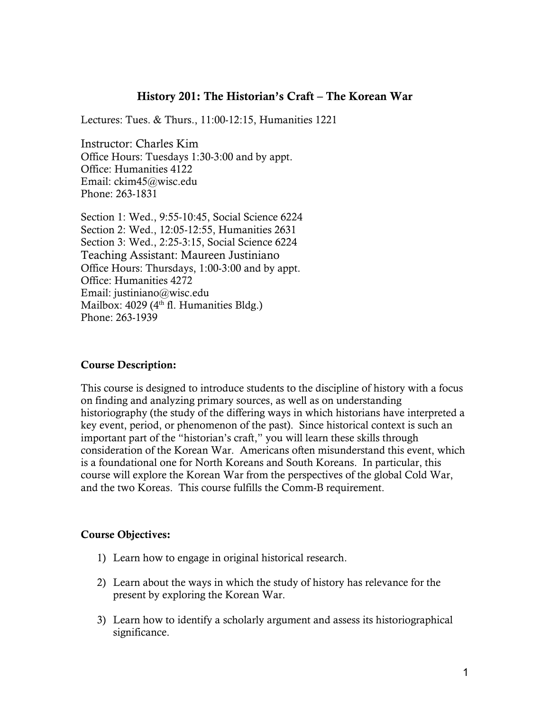## History 201: The Historian's Craft – The Korean War

Lectures: Tues. & Thurs., 11:00-12:15, Humanities 1221

Instructor: Charles Kim Office Hours: Tuesdays 1:30-3:00 and by appt. Office: Humanities 4122 Email: ckim45@wisc.edu Phone: 263-1831

Section 1: Wed., 9:55-10:45, Social Science 6224 Section 2: Wed., 12:05-12:55, Humanities 2631 Section 3: Wed., 2:25-3:15, Social Science 6224 Teaching Assistant: Maureen Justiniano Office Hours: Thursdays, 1:00-3:00 and by appt. Office: Humanities 4272 Email: justiniano@wisc.edu Mailbox:  $4029$  ( $4<sup>th</sup>$  fl. Humanities Bldg.) Phone: 263-1939

#### Course Description:

This course is designed to introduce students to the discipline of history with a focus on finding and analyzing primary sources, as well as on understanding historiography (the study of the differing ways in which historians have interpreted a key event, period, or phenomenon of the past). Since historical context is such an important part of the "historian's craft," you will learn these skills through consideration of the Korean War. Americans often misunderstand this event, which is a foundational one for North Koreans and South Koreans. In particular, this course will explore the Korean War from the perspectives of the global Cold War, and the two Koreas. This course fulfills the Comm-B requirement.

#### Course Objectives:

- 1) Learn how to engage in original historical research.
- 2) Learn about the ways in which the study of history has relevance for the present by exploring the Korean War.
- 3) Learn how to identify a scholarly argument and assess its historiographical significance.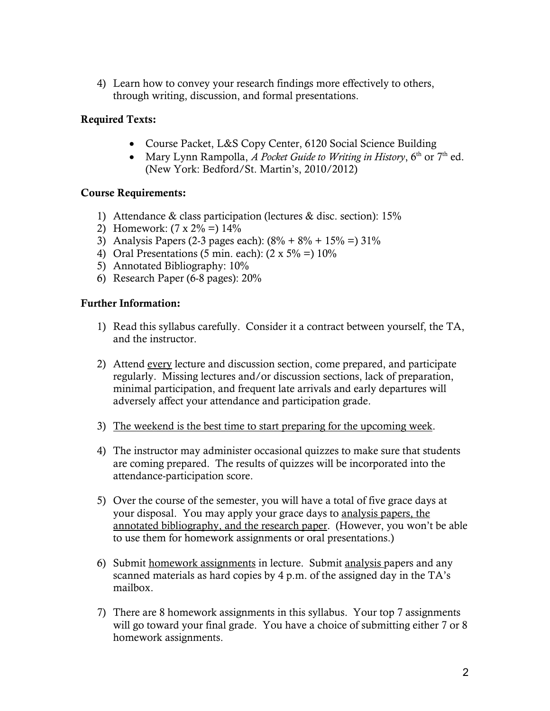4) Learn how to convey your research findings more effectively to others, through writing, discussion, and formal presentations.

# Required Texts:

- Course Packet, L&S Copy Center, 6120 Social Science Building
- Mary Lynn Rampolla, *A Pocket Guide to Writing in History*,  $6<sup>th</sup>$  or  $7<sup>th</sup>$  ed. (New York: Bedford/St. Martin's, 2010/2012)

### Course Requirements:

- 1) Attendance & class participation (lectures & disc. section): 15%
- 2) Homework:  $(7 \times 2\% = 14\%)$
- 3) Analysis Papers (2-3 pages each):  $(8\% + 8\% + 15\% = 31\%$
- 4) Oral Presentations (5 min. each):  $(2 \times 5\% = 10\%)$
- 5) Annotated Bibliography: 10%
- 6) Research Paper (6-8 pages): 20%

#### Further Information:

- 1) Read this syllabus carefully. Consider it a contract between yourself, the TA, and the instructor.
- 2) Attend every lecture and discussion section, come prepared, and participate regularly. Missing lectures and/or discussion sections, lack of preparation, minimal participation, and frequent late arrivals and early departures will adversely affect your attendance and participation grade.
- 3) The weekend is the best time to start preparing for the upcoming week.
- 4) The instructor may administer occasional quizzes to make sure that students are coming prepared. The results of quizzes will be incorporated into the attendance-participation score.
- 5) Over the course of the semester, you will have a total of five grace days at your disposal. You may apply your grace days to analysis papers, the annotated bibliography, and the research paper. (However, you won't be able to use them for homework assignments or oral presentations.)
- 6) Submit homework assignments in lecture. Submit analysis papers and any scanned materials as hard copies by 4 p.m. of the assigned day in the TA's mailbox.
- 7) There are 8 homework assignments in this syllabus. Your top 7 assignments will go toward your final grade. You have a choice of submitting either 7 or 8 homework assignments.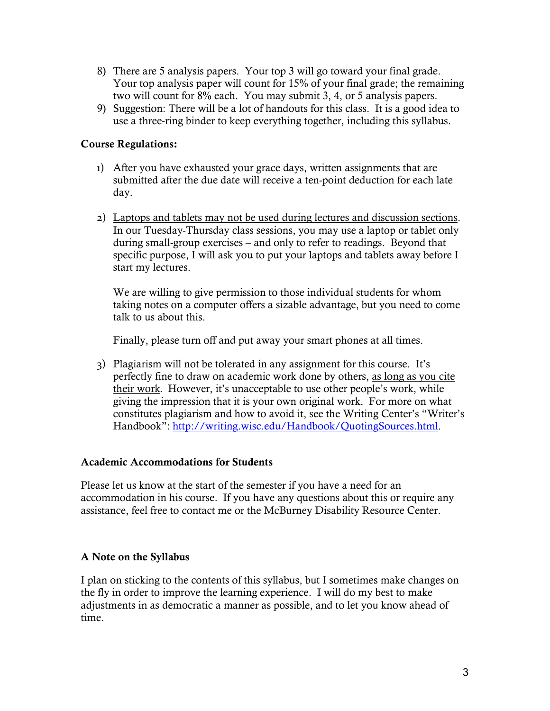- 8) There are 5 analysis papers. Your top 3 will go toward your final grade. Your top analysis paper will count for 15% of your final grade; the remaining two will count for 8% each. You may submit 3, 4, or 5 analysis papers.
- 9) Suggestion: There will be a lot of handouts for this class. It is a good idea to use a three-ring binder to keep everything together, including this syllabus.

## Course Regulations:

- 1) After you have exhausted your grace days, written assignments that are submitted after the due date will receive a ten-point deduction for each late day.
- 2) Laptops and tablets may not be used during lectures and discussion sections. In our Tuesday-Thursday class sessions, you may use a laptop or tablet only during small-group exercises – and only to refer to readings. Beyond that specific purpose, I will ask you to put your laptops and tablets away before I start my lectures.

We are willing to give permission to those individual students for whom taking notes on a computer offers a sizable advantage, but you need to come talk to us about this.

Finally, please turn off and put away your smart phones at all times.

3) Plagiarism will not be tolerated in any assignment for this course. It's perfectly fine to draw on academic work done by others, as long as you cite their work*.* However, it's unacceptable to use other people's work, while giving the impression that it is your own original work. For more on what constitutes plagiarism and how to avoid it, see the Writing Center's "Writer's Handbook": http://writing.wisc.edu/Handbook/QuotingSources.html.

### Academic Accommodations for Students

Please let us know at the start of the semester if you have a need for an accommodation in his course. If you have any questions about this or require any assistance, feel free to contact me or the McBurney Disability Resource Center.

### A Note on the Syllabus

I plan on sticking to the contents of this syllabus, but I sometimes make changes on the fly in order to improve the learning experience. I will do my best to make adjustments in as democratic a manner as possible, and to let you know ahead of time.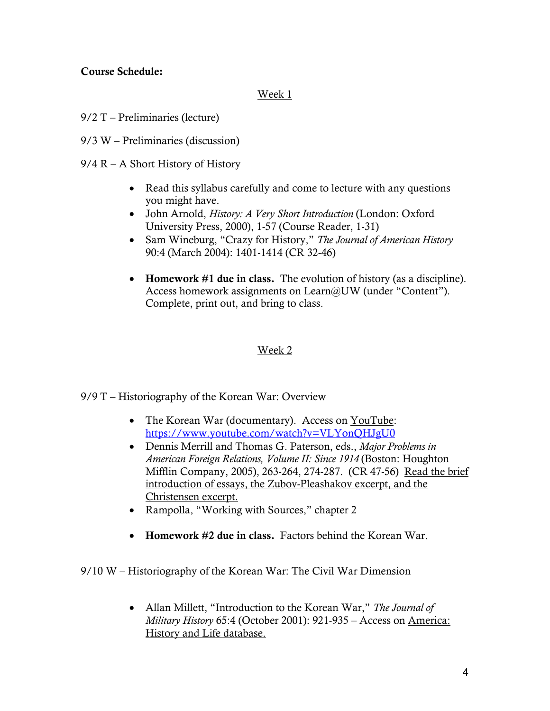### Course Schedule:

### Week 1

- 9/2 T Preliminaries (lecture)
- 9/3 W Preliminaries (discussion)
- 9/4 R A Short History of History
	- Read this syllabus carefully and come to lecture with any questions you might have.
	- John Arnold, *History: A Very Short Introduction* (London: Oxford University Press, 2000), 1-57 (Course Reader, 1-31)
	- Sam Wineburg, "Crazy for History," *The Journal of American History*  90:4 (March 2004): 1401-1414 (CR 32-46)
	- Homework #1 due in class. The evolution of history (as a discipline). Access homework assignments on Learn@UW (under "Content"). Complete, print out, and bring to class.

## Week 2

- 9/9 T Historiography of the Korean War: Overview
	- The Korean War (documentary). Access on YouTube: https://www.youtube.com/watch?v=VLYonQHJgU0
	- Dennis Merrill and Thomas G. Paterson, eds., *Major Problems in American Foreign Relations, Volume II: Since 1914* (Boston: Houghton Mifflin Company, 2005), 263-264, 274-287. (CR 47-56) Read the brief introduction of essays, the Zubov-Pleashakov excerpt, and the Christensen excerpt.
	- Rampolla, "Working with Sources," chapter 2
	- Homework #2 due in class. Factors behind the Korean War.

9/10 W – Historiography of the Korean War: The Civil War Dimension

 Allan Millett, "Introduction to the Korean War," *The Journal of Military History* 65:4 (October 2001): 921-935 – Access on America: History and Life database.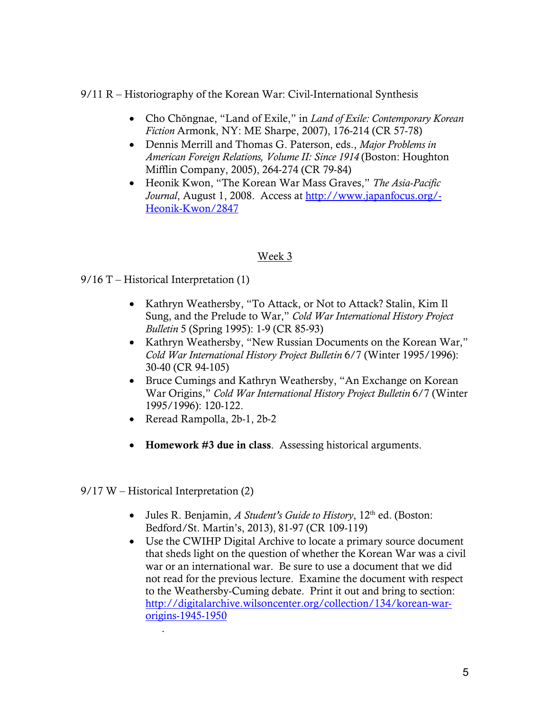## 9/11 R – Historiography of the Korean War: Civil-International Synthesis

- Cho Chŏngnae, "Land of Exile," in *Land of Exile: Contemporary Korean Fiction* Armonk, NY: ME Sharpe, 2007), 176-214 (CR 57-78)
- Dennis Merrill and Thomas G. Paterson, eds., *Major Problems in American Foreign Relations, Volume II: Since 1914* (Boston: Houghton Mifflin Company, 2005), 264-274 (CR 79-84)
- Heonik Kwon, "The Korean War Mass Graves," *The Asia-Pacific Journal*, August 1, 2008. Access at http://www.japanfocus.org/- Heonik-Kwon/2847

### Week 3

- $9/16$  T Historical Interpretation (1)
	- Kathryn Weathersby, "To Attack, or Not to Attack? Stalin, Kim Il Sung, and the Prelude to War," *Cold War International History Project Bulletin* 5 (Spring 1995): 1-9 (CR 85-93)
	- Kathryn Weathersby, "New Russian Documents on the Korean War," *Cold War International History Project Bulletin* 6/7 (Winter 1995/1996): 30-40 (CR 94-105)
	- Bruce Cumings and Kathryn Weathersby, "An Exchange on Korean War Origins," *Cold War International History Project Bulletin* 6/7 (Winter 1995/1996): 120-122.
	- Reread Rampolla, 2b-1, 2b-2
	- Homework #3 due in class. Assessing historical arguments.
- 9/17 W Historical Interpretation (2)

.

- Jules R. Benjamin, *A Student's Guide to History*, 12<sup>th</sup> ed. (Boston: Bedford/St. Martin's, 2013), 81-97 (CR 109-119)
- Use the CWIHP Digital Archive to locate a primary source document that sheds light on the question of whether the Korean War was a civil war or an international war. Be sure to use a document that we did not read for the previous lecture. Examine the document with respect to the Weathersby-Cuming debate. Print it out and bring to section: http://digitalarchive.wilsoncenter.org/collection/134/korean-warorigins-1945-1950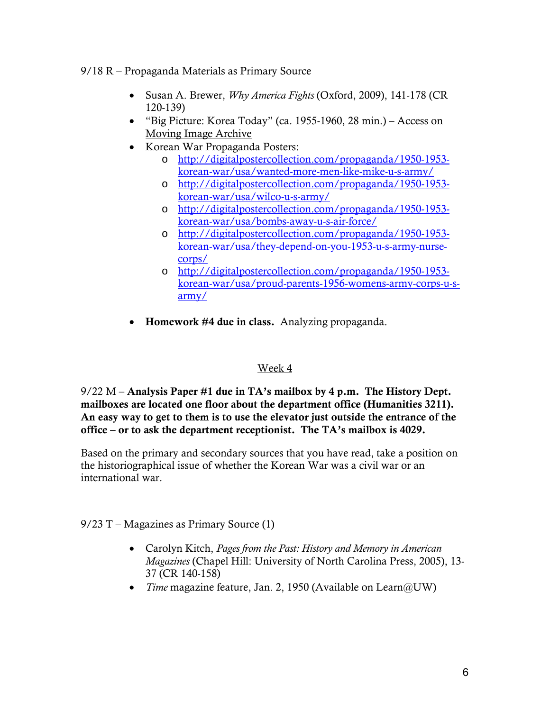### 9/18 R – Propaganda Materials as Primary Source

- Susan A. Brewer, *Why America Fights* (Oxford, 2009), 141-178 (CR 120-139)
- "Big Picture: Korea Today" (ca. 1955-1960, 28 min.) Access on Moving Image Archive
- Korean War Propaganda Posters:
	- o http://digitalpostercollection.com/propaganda/1950-1953 korean-war/usa/wanted-more-men-like-mike-u-s-army/
	- o http://digitalpostercollection.com/propaganda/1950-1953 korean-war/usa/wilco-u-s-army/
	- o http://digitalpostercollection.com/propaganda/1950-1953 korean-war/usa/bombs-away-u-s-air-force/
	- o http://digitalpostercollection.com/propaganda/1950-1953 korean-war/usa/they-depend-on-you-1953-u-s-army-nursecorps/
	- o http://digitalpostercollection.com/propaganda/1950-1953 korean-war/usa/proud-parents-1956-womens-army-corps-u-sarmy/
- Homework #4 due in class. Analyzing propaganda.

# Week 4

 $9/22$  M – Analysis Paper #1 due in TA's mailbox by 4 p.m. The History Dept. mailboxes are located one floor about the department office (Humanities 3211). An easy way to get to them is to use the elevator just outside the entrance of the office – or to ask the department receptionist. The TA's mailbox is 4029.

Based on the primary and secondary sources that you have read, take a position on the historiographical issue of whether the Korean War was a civil war or an international war.

 $9/23$  T – Magazines as Primary Source (1)

- Carolyn Kitch, *Pages from the Past: History and Memory in American Magazines* (Chapel Hill: University of North Carolina Press, 2005), 13- 37 (CR 140-158)
- *Time* magazine feature, Jan. 2, 1950 (Available on Learn@UW)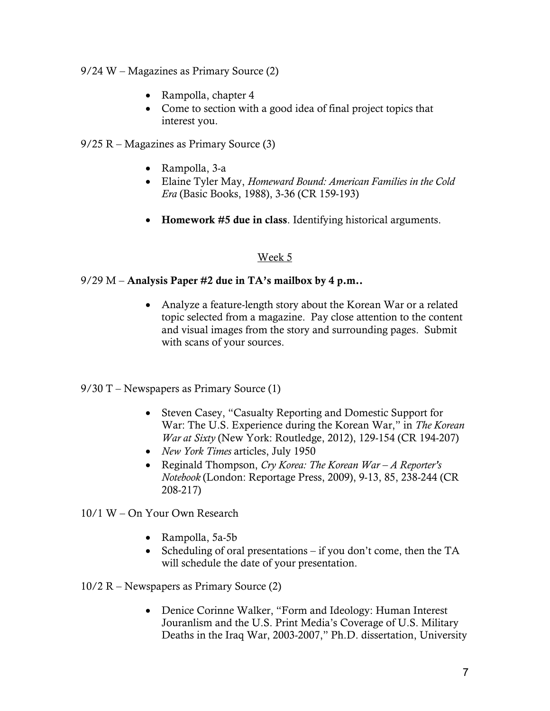9/24 W – Magazines as Primary Source (2)

- Rampolla, chapter 4
- Come to section with a good idea of final project topics that interest you.

9/25 R – Magazines as Primary Source (3)

- Rampolla, 3-a
- Elaine Tyler May, *Homeward Bound: American Families in the Cold Era* (Basic Books, 1988), 3-36 (CR 159-193)
- Homework #5 due in class. Identifying historical arguments.

### Week 5

### $9/29$  M – Analysis Paper #2 due in TA's mailbox by 4 p.m..

- Analyze a feature-length story about the Korean War or a related topic selected from a magazine. Pay close attention to the content and visual images from the story and surrounding pages. Submit with scans of your sources.
- 9/30 T Newspapers as Primary Source (1)
	- Steven Casey, "Casualty Reporting and Domestic Support for War: The U.S. Experience during the Korean War," in *The Korean War at Sixty* (New York: Routledge, 2012), 129-154 (CR 194-207)
	- *New York Times* articles, July 1950
	- Reginald Thompson, *Cry Korea: The Korean War A Reporter's Notebook* (London: Reportage Press, 2009), 9-13, 85, 238-244 (CR 208-217)

10/1 W – On Your Own Research

- Rampolla, 5a-5b
- Scheduling of oral presentations if you don't come, then the TA will schedule the date of your presentation.

10/2 R – Newspapers as Primary Source (2)

 Denice Corinne Walker, "Form and Ideology: Human Interest Jouranlism and the U.S. Print Media's Coverage of U.S. Military Deaths in the Iraq War, 2003-2007," Ph.D. dissertation, University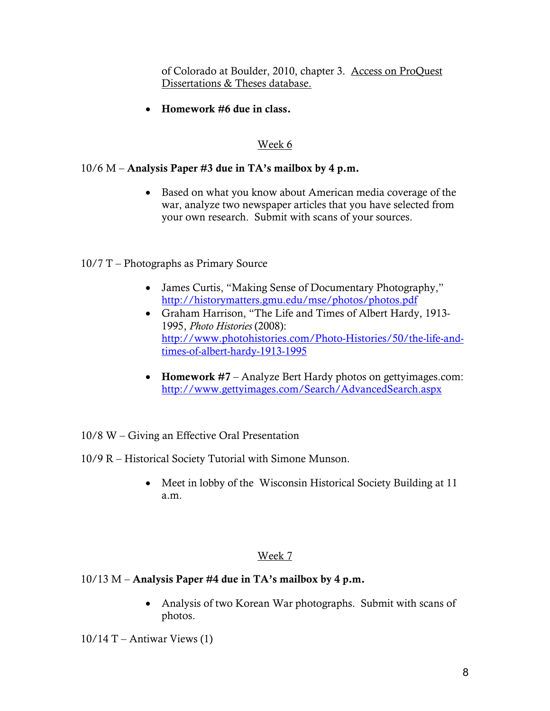of Colorado at Boulder, 2010, chapter 3. Access on ProQuest Dissertations & Theses database.

Homework #6 due in class.

# Week 6

## $10/6$  M – Analysis Paper #3 due in TA's mailbox by 4 p.m.

• Based on what you know about American media coverage of the war, analyze two newspaper articles that you have selected from your own research. Submit with scans of your sources.

### 10/7 T – Photographs as Primary Source

- James Curtis, "Making Sense of Documentary Photography," http://historymatters.gmu.edu/mse/photos/photos.pdf
- Graham Harrison, "The Life and Times of Albert Hardy, 1913- 1995, *Photo Histories* (2008): http://www.photohistories.com/Photo-Histories/50/the-life-andtimes-of-albert-hardy-1913-1995
- Homework #7 Analyze Bert Hardy photos on gettyimages.com: http://www.gettyimages.com/Search/AdvancedSearch.aspx
- 10/8 W Giving an Effective Oral Presentation
- 10/9 R Historical Society Tutorial with Simone Munson.
	- Meet in lobby of the Wisconsin Historical Society Building at 11 a.m.

### Week 7

### $10/13$  M – Analysis Paper #4 due in TA's mailbox by 4 p.m.

• Analysis of two Korean War photographs. Submit with scans of photos.

 $10/14$  T – Antiwar Views (1)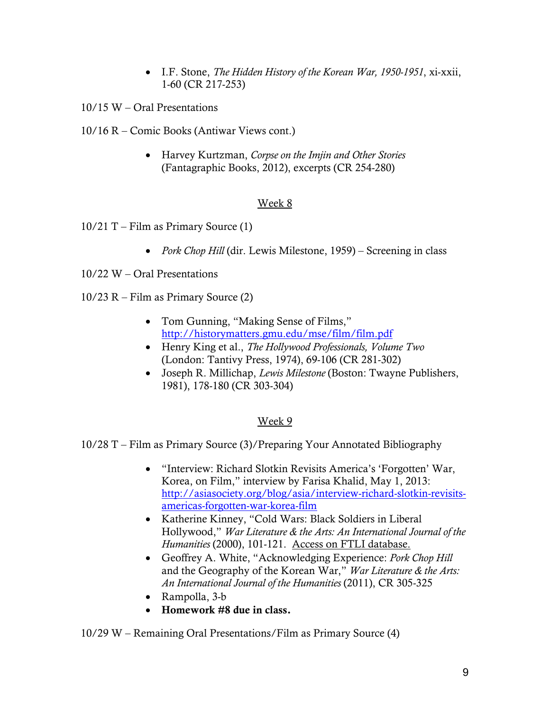- I.F. Stone, *The Hidden History of the Korean War, 1950-1951*, xi-xxii, 1-60 (CR 217-253)
- 10/15 W Oral Presentations
- 10/16 R Comic Books (Antiwar Views cont.)
	- Harvey Kurtzman, *Corpse on the Imjin and Other Stories*  (Fantagraphic Books, 2012), excerpts (CR 254-280)

# Week 8

- $10/21$  T Film as Primary Source (1)
	- *Pork Chop Hill* (dir. Lewis Milestone, 1959) Screening in class
- 10/22 W Oral Presentations
- 10/23 R Film as Primary Source (2)
	- Tom Gunning, "Making Sense of Films," http://historymatters.gmu.edu/mse/film/film.pdf
	- Henry King et al., *The Hollywood Professionals, Volume Two*  (London: Tantivy Press, 1974), 69-106 (CR 281-302)
	- Joseph R. Millichap, *Lewis Milestone* (Boston: Twayne Publishers, 1981), 178-180 (CR 303-304)

# Week 9

- 10/28 T Film as Primary Source (3)/Preparing Your Annotated Bibliography
	- "Interview: Richard Slotkin Revisits America's 'Forgotten' War, Korea, on Film," interview by Farisa Khalid, May 1, 2013: http://asiasociety.org/blog/asia/interview-richard-slotkin-revisitsamericas-forgotten-war-korea-film
	- Katherine Kinney, "Cold Wars: Black Soldiers in Liberal Hollywood," *War Literature & the Arts: An International Journal of the Humanities* (2000), 101-121. Access on FTLI database.
	- Geoffrey A. White, "Acknowledging Experience: *Pork Chop Hill* and the Geography of the Korean War," *War Literature & the Arts: An International Journal of the Humanities* (2011), CR 305-325
	- Rampolla, 3-b
	- Homework #8 due in class.

#### 10/29 W – Remaining Oral Presentations/Film as Primary Source (4)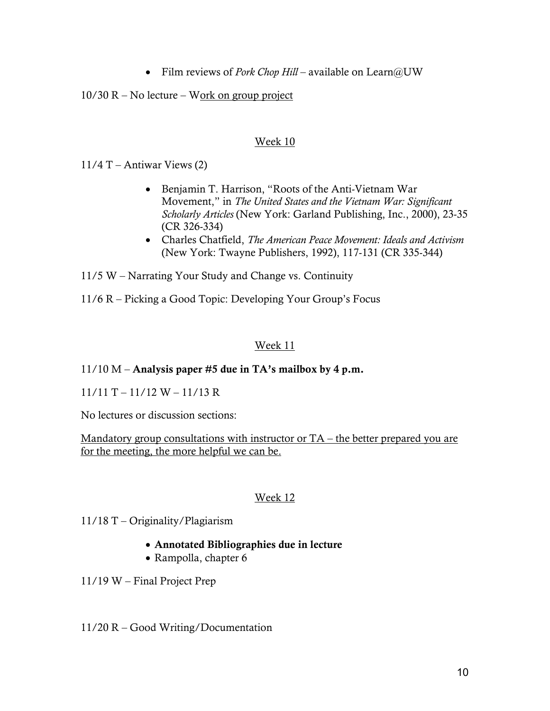Film reviews of *Pork Chop Hill* – available on Learn@UW

 $10/30$  R – No lecture – Work on group project

### Week 10

 $11/4$  T – Antiwar Views (2)

- Benjamin T. Harrison, "Roots of the Anti-Vietnam War Movement," in *The United States and the Vietnam War: Significant Scholarly Articles* (New York: Garland Publishing, Inc., 2000), 23-35 (CR 326-334)
- Charles Chatfield, *The American Peace Movement: Ideals and Activism*  (New York: Twayne Publishers, 1992), 117-131 (CR 335-344)

11/5 W – Narrating Your Study and Change vs. Continuity

11/6 R – Picking a Good Topic: Developing Your Group's Focus

# Week 11

# $11/10$  M – Analysis paper #5 due in TA's mailbox by 4 p.m.

 $11/11$  T –  $11/12$  W –  $11/13$  R

No lectures or discussion sections:

Mandatory group consultations with instructor or TA – the better prepared you are for the meeting, the more helpful we can be.

### Week 12

11/18 T – Originality/Plagiarism

- Annotated Bibliographies due in lecture
- Rampolla, chapter 6

11/19 W – Final Project Prep

11/20 R – Good Writing/Documentation